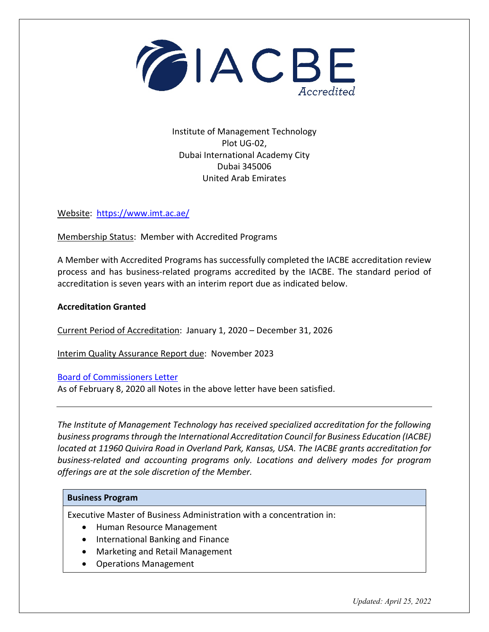

Institute of Management Technology Plot UG-02, Dubai International Academy City Dubai 345006 United Arab Emirates

Website: <https://www.imt.ac.ae/>

Membership Status: Member with Accredited Programs

A Member with Accredited Programs has successfully completed the IACBE accreditation review process and has business-related programs accredited by the IACBE. The standard period of accreditation is seven years with an interim report due as indicated below.

## **Accreditation Granted**

Current Period of Accreditation: January 1, 2020 – December 31, 2026

Interim Quality Assurance Report due: November 2023

[Board of Commissioners Letter](https://iacbe.org/memberpdf/BOCDecisionLetterIMTDubaiDec2019final.pdf)

As of February 8, 2020 all Notes in the above letter have been satisfied.

*The Institute of Management Technology has received specialized accreditation for the following business programs through the International Accreditation Council for Business Education (IACBE) located at 11960 Quivira Road in Overland Park, Kansas, USA. The IACBE grants accreditation for business-related and accounting programs only. Locations and delivery modes for program offerings are at the sole discretion of the Member.*

## **Business Program**

Executive Master of Business Administration with a concentration in:

- Human Resource Management
- International Banking and Finance
- Marketing and Retail Management
- Operations Management